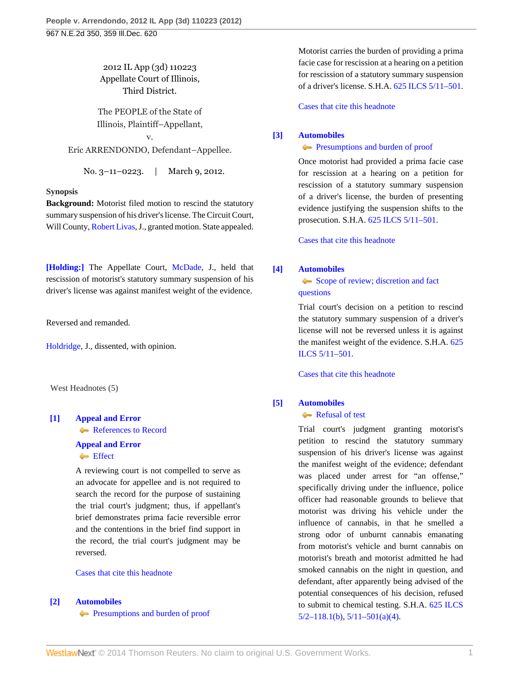2012 IL App (3d) 110223 Appellate Court of Illinois, Third District.

The PEOPLE of the State of Illinois, Plaintiff–Appellant,

v. Eric ARRENDONDO, Defendant–Appellee.

No. 3–11–0223. | March 9, 2012.

#### **Synopsis**

**Background:** Motorist filed motion to rescind the statutory summary suspension of his driver's license. The Circuit Court, Will County, [Robert Livas](http://www.westlaw.com/Link/Document/FullText?findType=h&pubNum=176284&cite=0333730401&originatingDoc=Iffc9ddda6dc511e1be29b2facdefeebe&refType=RQ&originationContext=document&vr=3.0&rs=cblt1.0&transitionType=DocumentItem&contextData=(sc.Search)), J., granted motion. State appealed.

**[\[Holding:\]](#page-0-0)** The Appellate Court, [McDade,](http://www.westlaw.com/Link/Document/FullText?findType=h&pubNum=176284&cite=0196972601&originatingDoc=Iffc9ddda6dc511e1be29b2facdefeebe&refType=RQ&originationContext=document&vr=3.0&rs=cblt1.0&transitionType=DocumentItem&contextData=(sc.Search)) J., held that rescission of motorist's statutory summary suspension of his driver's license was against manifest weight of the evidence.

Reversed and remanded.

[Holdridge,](http://www.westlaw.com/Link/Document/FullText?findType=h&pubNum=176284&cite=0196755001&originatingDoc=Iffc9ddda6dc511e1be29b2facdefeebe&refType=RQ&originationContext=document&vr=3.0&rs=cblt1.0&transitionType=DocumentItem&contextData=(sc.Search)) J., dissented, with opinion.

West Headnotes (5)

# <span id="page-0-1"></span>**[\[1\]](#page-2-0) [Appeal and Error](http://www.westlaw.com/Browse/Home/KeyNumber/30/View.html?docGuid=Iffc9ddda6dc511e1be29b2facdefeebe&originationContext=document&vr=3.0&rs=cblt1.0&transitionType=DocumentItem&contextData=(sc.Search))** [References to Record](http://www.westlaw.com/Browse/Home/KeyNumber/30k760/View.html?docGuid=Iffc9ddda6dc511e1be29b2facdefeebe&originationContext=document&vr=3.0&rs=cblt1.0&transitionType=DocumentItem&contextData=(sc.Search))

#### **[Appeal and Error](http://www.westlaw.com/Browse/Home/KeyNumber/30/View.html?docGuid=Iffc9ddda6dc511e1be29b2facdefeebe&originationContext=document&vr=3.0&rs=cblt1.0&transitionType=DocumentItem&contextData=(sc.Search))**

# **[Effect](http://www.westlaw.com/Browse/Home/KeyNumber/30k770/View.html?docGuid=Iffc9ddda6dc511e1be29b2facdefeebe&originationContext=document&vr=3.0&rs=cblt1.0&transitionType=DocumentItem&contextData=(sc.Search))**

A reviewing court is not compelled to serve as an advocate for appellee and is not required to search the record for the purpose of sustaining the trial court's judgment; thus, if appellant's brief demonstrates prima facie reversible error and the contentions in the brief find support in the record, the trial court's judgment may be reversed.

### [Cases that cite this headnote](http://www.westlaw.com/Link/RelatedInformation/DocHeadnoteLink?docGuid=Iffc9ddda6dc511e1be29b2facdefeebe&headnoteId=202730837100120120912213440&originationContext=document&vr=3.0&rs=cblt1.0&transitionType=CitingReferences&contextData=(sc.Search))

#### <span id="page-0-2"></span>**[\[2\]](#page-2-1) [Automobiles](http://www.westlaw.com/Browse/Home/KeyNumber/48A/View.html?docGuid=Iffc9ddda6dc511e1be29b2facdefeebe&originationContext=document&vr=3.0&rs=cblt1.0&transitionType=DocumentItem&contextData=(sc.Search))**

**[Presumptions and burden of proof](http://www.westlaw.com/Browse/Home/KeyNumber/48Ak144.2(9.6)/View.html?docGuid=Iffc9ddda6dc511e1be29b2facdefeebe&originationContext=document&vr=3.0&rs=cblt1.0&transitionType=DocumentItem&contextData=(sc.Search))** 

Motorist carries the burden of providing a prima facie case for rescission at a hearing on a petition for rescission of a statutory summary suspension of a driver's license. S.H.A. [625 ILCS 5/11–501](http://www.westlaw.com/Link/Document/FullText?findType=L&pubNum=1000008&cite=IL625S5%2f11-501&originatingDoc=Iffc9ddda6dc511e1be29b2facdefeebe&refType=LQ&originationContext=document&vr=3.0&rs=cblt1.0&transitionType=DocumentItem&contextData=(sc.Search)).

[Cases that cite this headnote](http://www.westlaw.com/Link/RelatedInformation/DocHeadnoteLink?docGuid=Iffc9ddda6dc511e1be29b2facdefeebe&headnoteId=202730837100220120912213440&originationContext=document&vr=3.0&rs=cblt1.0&transitionType=CitingReferences&contextData=(sc.Search))

### <span id="page-0-3"></span>**[\[3\]](#page-2-2) [Automobiles](http://www.westlaw.com/Browse/Home/KeyNumber/48A/View.html?docGuid=Iffc9ddda6dc511e1be29b2facdefeebe&originationContext=document&vr=3.0&rs=cblt1.0&transitionType=DocumentItem&contextData=(sc.Search))**

**[Presumptions and burden of proof](http://www.westlaw.com/Browse/Home/KeyNumber/48Ak144.2(9.6)/View.html?docGuid=Iffc9ddda6dc511e1be29b2facdefeebe&originationContext=document&vr=3.0&rs=cblt1.0&transitionType=DocumentItem&contextData=(sc.Search))** 

Once motorist had provided a prima facie case for rescission at a hearing on a petition for rescission of a statutory summary suspension of a driver's license, the burden of presenting evidence justifying the suspension shifts to the prosecution. S.H.A. [625 ILCS 5/11–501.](http://www.westlaw.com/Link/Document/FullText?findType=L&pubNum=1000008&cite=IL625S5%2f11-501&originatingDoc=Iffc9ddda6dc511e1be29b2facdefeebe&refType=LQ&originationContext=document&vr=3.0&rs=cblt1.0&transitionType=DocumentItem&contextData=(sc.Search))

[Cases that cite this headnote](http://www.westlaw.com/Link/RelatedInformation/DocHeadnoteLink?docGuid=Iffc9ddda6dc511e1be29b2facdefeebe&headnoteId=202730837100320120912213440&originationContext=document&vr=3.0&rs=cblt1.0&transitionType=CitingReferences&contextData=(sc.Search))

### <span id="page-0-4"></span>**[\[4\]](#page-2-3) [Automobiles](http://www.westlaw.com/Browse/Home/KeyNumber/48A/View.html?docGuid=Iffc9ddda6dc511e1be29b2facdefeebe&originationContext=document&vr=3.0&rs=cblt1.0&transitionType=DocumentItem&contextData=(sc.Search))**

# [Scope of review; discretion and fact](http://www.westlaw.com/Browse/Home/KeyNumber/48Ak144.2(3)/View.html?docGuid=Iffc9ddda6dc511e1be29b2facdefeebe&originationContext=document&vr=3.0&rs=cblt1.0&transitionType=DocumentItem&contextData=(sc.Search)) [questions](http://www.westlaw.com/Browse/Home/KeyNumber/48Ak144.2(3)/View.html?docGuid=Iffc9ddda6dc511e1be29b2facdefeebe&originationContext=document&vr=3.0&rs=cblt1.0&transitionType=DocumentItem&contextData=(sc.Search))

Trial court's decision on a petition to rescind the statutory summary suspension of a driver's license will not be reversed unless it is against the manifest weight of the evidence. S.H.A. [625](http://www.westlaw.com/Link/Document/FullText?findType=L&pubNum=1000008&cite=IL625S5%2f11-501&originatingDoc=Iffc9ddda6dc511e1be29b2facdefeebe&refType=LQ&originationContext=document&vr=3.0&rs=cblt1.0&transitionType=DocumentItem&contextData=(sc.Search)) [ILCS 5/11–501](http://www.westlaw.com/Link/Document/FullText?findType=L&pubNum=1000008&cite=IL625S5%2f11-501&originatingDoc=Iffc9ddda6dc511e1be29b2facdefeebe&refType=LQ&originationContext=document&vr=3.0&rs=cblt1.0&transitionType=DocumentItem&contextData=(sc.Search)).

[Cases that cite this headnote](http://www.westlaw.com/Link/RelatedInformation/DocHeadnoteLink?docGuid=Iffc9ddda6dc511e1be29b2facdefeebe&headnoteId=202730837100420120912213440&originationContext=document&vr=3.0&rs=cblt1.0&transitionType=CitingReferences&contextData=(sc.Search))

### <span id="page-0-0"></span>**[\[5\]](#page-3-0) [Automobiles](http://www.westlaw.com/Browse/Home/KeyNumber/48A/View.html?docGuid=Iffc9ddda6dc511e1be29b2facdefeebe&originationContext=document&vr=3.0&rs=cblt1.0&transitionType=DocumentItem&contextData=(sc.Search))**

#### [Refusal of test](http://www.westlaw.com/Browse/Home/KeyNumber/48Ak144.2(10.3)/View.html?docGuid=Iffc9ddda6dc511e1be29b2facdefeebe&originationContext=document&vr=3.0&rs=cblt1.0&transitionType=DocumentItem&contextData=(sc.Search))

Trial court's judgment granting motorist's petition to rescind the statutory summary suspension of his driver's license was against the manifest weight of the evidence; defendant was placed under arrest for "an offense," specifically driving under the influence, police officer had reasonable grounds to believe that motorist was driving his vehicle under the influence of cannabis, in that he smelled a strong odor of unburnt cannabis emanating from motorist's vehicle and burnt cannabis on motorist's breath and motorist admitted he had smoked cannabis on the night in question, and defendant, after apparently being advised of the potential consequences of his decision, refused to submit to chemical testing. S.H.A. [625 ILCS](http://www.westlaw.com/Link/Document/FullText?findType=L&pubNum=1000008&cite=IL625S5%2f2-118.1&originatingDoc=Iffc9ddda6dc511e1be29b2facdefeebe&refType=SP&originationContext=document&vr=3.0&rs=cblt1.0&transitionType=DocumentItem&contextData=(sc.Search)#co_pp_a83b000018c76)  $5/2 - 118.1(b)$ ,  $5/11 - 501(a)(4)$ .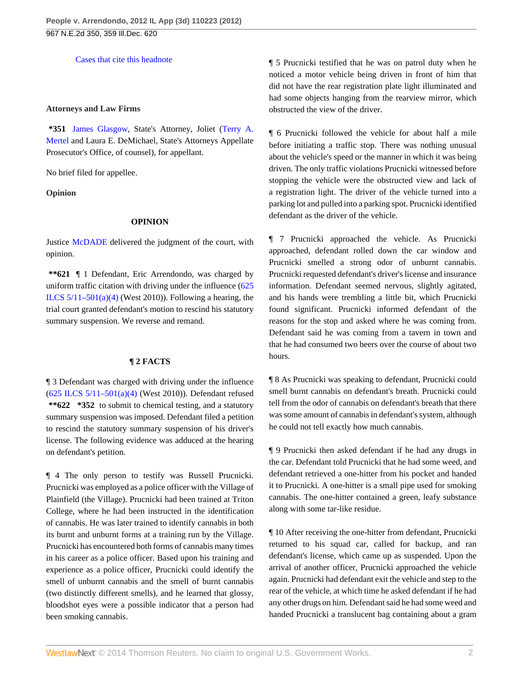[Cases that cite this headnote](http://www.westlaw.com/Link/RelatedInformation/DocHeadnoteLink?docGuid=Iffc9ddda6dc511e1be29b2facdefeebe&headnoteId=202730837100520120912213440&originationContext=document&vr=3.0&rs=cblt1.0&transitionType=CitingReferences&contextData=(sc.Search))

#### **Attorneys and Law Firms**

**\*351** [James Glasgow,](http://www.westlaw.com/Link/Document/FullText?findType=h&pubNum=176284&cite=0124771901&originatingDoc=Iffc9ddda6dc511e1be29b2facdefeebe&refType=RQ&originationContext=document&vr=3.0&rs=cblt1.0&transitionType=DocumentItem&contextData=(sc.Search)) State's Attorney, Joliet [\(Terry A.](http://www.westlaw.com/Link/Document/FullText?findType=h&pubNum=176284&cite=0221901701&originatingDoc=Iffc9ddda6dc511e1be29b2facdefeebe&refType=RQ&originationContext=document&vr=3.0&rs=cblt1.0&transitionType=DocumentItem&contextData=(sc.Search)) [Mertel](http://www.westlaw.com/Link/Document/FullText?findType=h&pubNum=176284&cite=0221901701&originatingDoc=Iffc9ddda6dc511e1be29b2facdefeebe&refType=RQ&originationContext=document&vr=3.0&rs=cblt1.0&transitionType=DocumentItem&contextData=(sc.Search)) and Laura E. DeMichael, State's Attorneys Appellate Prosecutor's Office, of counsel), for appellant.

No brief filed for appellee.

**Opinion**

### **OPINION**

Justice [McDADE](http://www.westlaw.com/Link/Document/FullText?findType=h&pubNum=176284&cite=0196972601&originatingDoc=Iffc9ddda6dc511e1be29b2facdefeebe&refType=RQ&originationContext=document&vr=3.0&rs=cblt1.0&transitionType=DocumentItem&contextData=(sc.Search)) delivered the judgment of the court, with opinion.

**\*\*621** ¶ 1 Defendant, Eric Arrendondo, was charged by uniform traffic citation with driving under the influence [\(625](http://www.westlaw.com/Link/Document/FullText?findType=L&pubNum=1000008&cite=IL625S5%2f11-501&originatingDoc=Iffc9ddda6dc511e1be29b2facdefeebe&refType=SP&originationContext=document&vr=3.0&rs=cblt1.0&transitionType=DocumentItem&contextData=(sc.Search)#co_pp_d40e000072291) ILCS  $5/11-501(a)(4)$  (West 2010)). Following a hearing, the trial court granted defendant's motion to rescind his statutory summary suspension. We reverse and remand.

#### **¶ 2 FACTS**

¶ 3 Defendant was charged with driving under the influence [\(625 ILCS 5/11–501\(a\)\(4\)](http://www.westlaw.com/Link/Document/FullText?findType=L&pubNum=1000008&cite=IL625S5%2f11-501&originatingDoc=Iffc9ddda6dc511e1be29b2facdefeebe&refType=SP&originationContext=document&vr=3.0&rs=cblt1.0&transitionType=DocumentItem&contextData=(sc.Search)#co_pp_d40e000072291) (West 2010)). Defendant refused **\*\*622 \*352** to submit to chemical testing, and a statutory summary suspension was imposed. Defendant filed a petition to rescind the statutory summary suspension of his driver's license. The following evidence was adduced at the hearing on defendant's petition.

¶ 4 The only person to testify was Russell Prucnicki. Prucnicki was employed as a police officer with the Village of Plainfield (the Village). Prucnicki had been trained at Triton College, where he had been instructed in the identification of cannabis. He was later trained to identify cannabis in both its burnt and unburnt forms at a training run by the Village. Prucnicki has encountered both forms of cannabis many times in his career as a police officer. Based upon his training and experience as a police officer, Prucnicki could identify the smell of unburnt cannabis and the smell of burnt cannabis (two distinctly different smells), and he learned that glossy, bloodshot eyes were a possible indicator that a person had been smoking cannabis.

¶ 5 Prucnicki testified that he was on patrol duty when he noticed a motor vehicle being driven in front of him that did not have the rear registration plate light illuminated and had some objects hanging from the rearview mirror, which obstructed the view of the driver.

¶ 6 Prucnicki followed the vehicle for about half a mile before initiating a traffic stop. There was nothing unusual about the vehicle's speed or the manner in which it was being driven. The only traffic violations Prucnicki witnessed before stopping the vehicle were the obstructed view and lack of a registration light. The driver of the vehicle turned into a parking lot and pulled into a parking spot. Prucnicki identified defendant as the driver of the vehicle.

¶ 7 Prucnicki approached the vehicle. As Prucnicki approached, defendant rolled down the car window and Prucnicki smelled a strong odor of unburnt cannabis. Prucnicki requested defendant's driver's license and insurance information. Defendant seemed nervous, slightly agitated, and his hands were trembling a little bit, which Prucnicki found significant. Prucnicki informed defendant of the reasons for the stop and asked where he was coming from. Defendant said he was coming from a tavern in town and that he had consumed two beers over the course of about two hours.

¶ 8 As Prucnicki was speaking to defendant, Prucnicki could smell burnt cannabis on defendant's breath. Prucnicki could tell from the odor of cannabis on defendant's breath that there was some amount of cannabis in defendant's system, although he could not tell exactly how much cannabis.

¶ 9 Prucnicki then asked defendant if he had any drugs in the car. Defendant told Prucnicki that he had some weed, and defendant retrieved a one-hitter from his pocket and handed it to Prucnicki. A one-hitter is a small pipe used for smoking cannabis. The one-hitter contained a green, leafy substance along with some tar-like residue.

¶ 10 After receiving the one-hitter from defendant, Prucnicki returned to his squad car, called for backup, and ran defendant's license, which came up as suspended. Upon the arrival of another officer, Prucnicki approached the vehicle again. Prucnicki had defendant exit the vehicle and step to the rear of the vehicle, at which time he asked defendant if he had any other drugs on him. Defendant said he had some weed and handed Prucnicki a translucent bag containing about a gram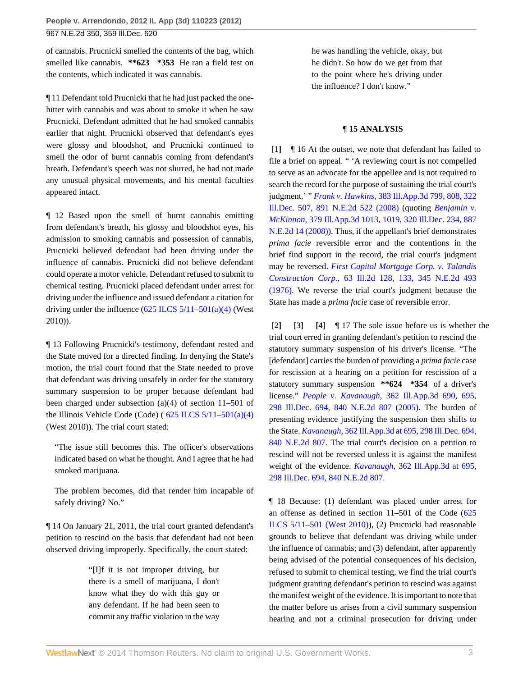of cannabis. Prucnicki smelled the contents of the bag, which smelled like cannabis. **\*\*623 \*353** He ran a field test on the contents, which indicated it was cannabis.

¶ 11 Defendant told Prucnicki that he had just packed the onehitter with cannabis and was about to smoke it when he saw Prucnicki. Defendant admitted that he had smoked cannabis earlier that night. Prucnicki observed that defendant's eyes were glossy and bloodshot, and Prucnicki continued to smell the odor of burnt cannabis coming from defendant's breath. Defendant's speech was not slurred, he had not made any unusual physical movements, and his mental faculties appeared intact.

¶ 12 Based upon the smell of burnt cannabis emitting from defendant's breath, his glossy and bloodshot eyes, his admission to smoking cannabis and possession of cannabis, Prucnicki believed defendant had been driving under the influence of cannabis. Prucnicki did not believe defendant could operate a motor vehicle. Defendant refused to submit to chemical testing. Prucnicki placed defendant under arrest for driving under the influence and issued defendant a citation for driving under the influence  $(625$  ILCS  $5/11-501(a)(4)$  (West 2010)).

¶ 13 Following Prucnicki's testimony, defendant rested and the State moved for a directed finding. In denying the State's motion, the trial court found that the State needed to prove that defendant was driving unsafely in order for the statutory summary suspension to be proper because defendant had been charged under subsection (a)(4) of section 11–501 of the Illinois Vehicle Code (Code) ( $625$  ILCS  $5/11-501(a)(4)$ (West 2010)). The trial court stated:

"The issue still becomes this. The officer's observations indicated based on what he thought. And I agree that he had smoked marijuana.

The problem becomes, did that render him incapable of safely driving? No."

¶ 14 On January 21, 2011, the trial court granted defendant's petition to rescind on the basis that defendant had not been observed driving improperly. Specifically, the court stated:

> "[I]f it is not improper driving, but there is a smell of marijuana, I don't know what they do with this guy or any defendant. If he had been seen to commit any traffic violation in the way

he was handling the vehicle, okay, but he didn't. So how do we get from that to the point where he's driving under the influence? I don't know."

### **¶ 15 ANALYSIS**

<span id="page-2-0"></span>**[\[1\]](#page-0-1)** ¶ 16 At the outset, we note that defendant has failed to file a brief on appeal. " 'A reviewing court is not compelled to serve as an advocate for the appellee and is not required to search the record for the purpose of sustaining the trial court's judgment.' " *Frank v. Hawkins,* [383 Ill.App.3d 799, 808, 322](http://www.westlaw.com/Link/Document/FullText?findType=Y&serNum=2016426089&pubNum=578&originationContext=document&vr=3.0&rs=cblt1.0&transitionType=DocumentItem&contextData=(sc.Search)) [Ill.Dec. 507, 891 N.E.2d 522 \(2008\)](http://www.westlaw.com/Link/Document/FullText?findType=Y&serNum=2016426089&pubNum=578&originationContext=document&vr=3.0&rs=cblt1.0&transitionType=DocumentItem&contextData=(sc.Search)) (quoting *[Benjamin v.](http://www.westlaw.com/Link/Document/FullText?findType=Y&serNum=2015367666&pubNum=578&originationContext=document&vr=3.0&rs=cblt1.0&transitionType=DocumentItem&contextData=(sc.Search)) McKinnon,* [379 Ill.App.3d 1013, 1019, 320 Ill.Dec. 234, 887](http://www.westlaw.com/Link/Document/FullText?findType=Y&serNum=2015367666&pubNum=578&originationContext=document&vr=3.0&rs=cblt1.0&transitionType=DocumentItem&contextData=(sc.Search)) [N.E.2d 14 \(2008\)](http://www.westlaw.com/Link/Document/FullText?findType=Y&serNum=2015367666&pubNum=578&originationContext=document&vr=3.0&rs=cblt1.0&transitionType=DocumentItem&contextData=(sc.Search))). Thus, if the appellant's brief demonstrates *prima facie* reversible error and the contentions in the brief find support in the record, the trial court's judgment may be reversed. *[First Capitol Mortgage Corp. v. Talandis](http://www.westlaw.com/Link/Document/FullText?findType=Y&serNum=1976106934&pubNum=578&originationContext=document&vr=3.0&rs=cblt1.0&transitionType=DocumentItem&contextData=(sc.Search)) Construction Corp.,* [63 Ill.2d 128, 133, 345 N.E.2d 493](http://www.westlaw.com/Link/Document/FullText?findType=Y&serNum=1976106934&pubNum=578&originationContext=document&vr=3.0&rs=cblt1.0&transitionType=DocumentItem&contextData=(sc.Search)) [\(1976\).](http://www.westlaw.com/Link/Document/FullText?findType=Y&serNum=1976106934&pubNum=578&originationContext=document&vr=3.0&rs=cblt1.0&transitionType=DocumentItem&contextData=(sc.Search)) We reverse the trial court's judgment because the State has made a *prima facie* case of reversible error.

<span id="page-2-3"></span><span id="page-2-2"></span><span id="page-2-1"></span>**[\[2\]](#page-0-2) [\[3\]](#page-0-3) [\[4](#page-0-4)]** ¶ 17 The sole issue before us is whether the trial court erred in granting defendant's petition to rescind the statutory summary suspension of his driver's license. "The [defendant] carries the burden of providing a *prima facie* case for rescission at a hearing on a petition for rescission of a statutory summary suspension **\*\*624 \*354** of a driver's license." *People v. Kavanaugh,* [362 Ill.App.3d 690, 695,](http://www.westlaw.com/Link/Document/FullText?findType=Y&serNum=2007959599&pubNum=578&originationContext=document&vr=3.0&rs=cblt1.0&transitionType=DocumentItem&contextData=(sc.Search)) [298 Ill.Dec. 694, 840 N.E.2d 807 \(2005\)](http://www.westlaw.com/Link/Document/FullText?findType=Y&serNum=2007959599&pubNum=578&originationContext=document&vr=3.0&rs=cblt1.0&transitionType=DocumentItem&contextData=(sc.Search)). The burden of presenting evidence justifying the suspension then shifts to the State. *Kavanaugh,* [362 Ill.App.3d at 695, 298 Ill.Dec. 694,](http://www.westlaw.com/Link/Document/FullText?findType=Y&serNum=2007959599&pubNum=578&originationContext=document&vr=3.0&rs=cblt1.0&transitionType=DocumentItem&contextData=(sc.Search)) [840 N.E.2d 807.](http://www.westlaw.com/Link/Document/FullText?findType=Y&serNum=2007959599&pubNum=578&originationContext=document&vr=3.0&rs=cblt1.0&transitionType=DocumentItem&contextData=(sc.Search)) The trial court's decision on a petition to rescind will not be reversed unless it is against the manifest weight of the evidence. *Kavanaugh,* [362 Ill.App.3d at 695,](http://www.westlaw.com/Link/Document/FullText?findType=Y&serNum=2007959599&pubNum=578&originationContext=document&vr=3.0&rs=cblt1.0&transitionType=DocumentItem&contextData=(sc.Search)) [298 Ill.Dec. 694, 840 N.E.2d 807](http://www.westlaw.com/Link/Document/FullText?findType=Y&serNum=2007959599&pubNum=578&originationContext=document&vr=3.0&rs=cblt1.0&transitionType=DocumentItem&contextData=(sc.Search)).

¶ 18 Because: (1) defendant was placed under arrest for an offense as defined in section 11–501 of the Code ([625](http://www.westlaw.com/Link/Document/FullText?findType=L&pubNum=1000008&cite=IL625S5%2f11-501&originatingDoc=Iffc9ddda6dc511e1be29b2facdefeebe&refType=LQ&originationContext=document&vr=3.0&rs=cblt1.0&transitionType=DocumentItem&contextData=(sc.Search)) [ILCS 5/11–501 \(West 2010\)\)](http://www.westlaw.com/Link/Document/FullText?findType=L&pubNum=1000008&cite=IL625S5%2f11-501&originatingDoc=Iffc9ddda6dc511e1be29b2facdefeebe&refType=LQ&originationContext=document&vr=3.0&rs=cblt1.0&transitionType=DocumentItem&contextData=(sc.Search)), (2) Prucnicki had reasonable grounds to believe that defendant was driving while under the influence of cannabis; and (3) defendant, after apparently being advised of the potential consequences of his decision, refused to submit to chemical testing, we find the trial court's judgment granting defendant's petition to rescind was against the manifest weight of the evidence. It is important to note that the matter before us arises from a civil summary suspension hearing and not a criminal prosecution for driving under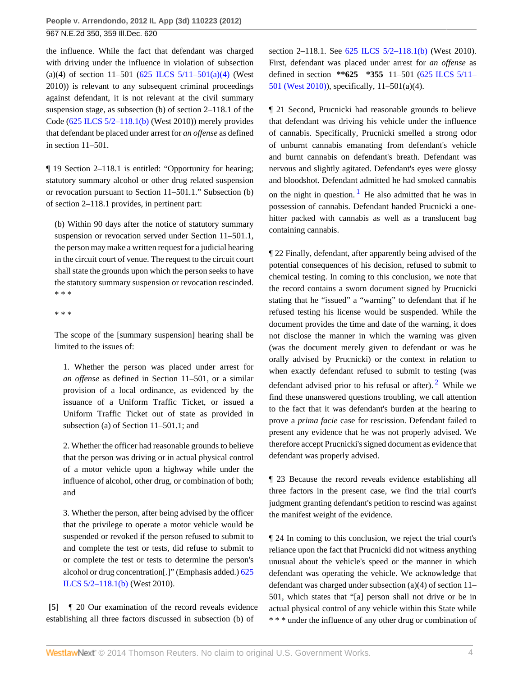the influence. While the fact that defendant was charged with driving under the influence in violation of subsection (a)(4) of section 11–501 (625 ILCS  $5/11-501(a)(4)$  (West 2010)) is relevant to any subsequent criminal proceedings against defendant, it is not relevant at the civil summary suspension stage, as subsection (b) of section 2–118.1 of the Code ([625 ILCS 5/2–118.1\(b\)](http://www.westlaw.com/Link/Document/FullText?findType=L&pubNum=1000008&cite=IL625S5%2f2-118.1&originatingDoc=Iffc9ddda6dc511e1be29b2facdefeebe&refType=SP&originationContext=document&vr=3.0&rs=cblt1.0&transitionType=DocumentItem&contextData=(sc.Search)#co_pp_a83b000018c76) (West 2010)) merely provides that defendant be placed under arrest for *an offense* as defined in section 11–501.

¶ 19 Section 2–118.1 is entitled: "Opportunity for hearing; statutory summary alcohol or other drug related suspension or revocation pursuant to Section 11–501.1." Subsection (b) of section 2–118.1 provides, in pertinent part:

(b) Within 90 days after the notice of statutory summary suspension or revocation served under Section 11–501.1, the person may make a written request for a judicial hearing in the circuit court of venue. The request to the circuit court shall state the grounds upon which the person seeks to have the statutory summary suspension or revocation rescinded. \* \* \*

\* \* \*

The scope of the [summary suspension] hearing shall be limited to the issues of:

1. Whether the person was placed under arrest for *an offense* as defined in Section 11–501, or a similar provision of a local ordinance, as evidenced by the issuance of a Uniform Traffic Ticket, or issued a Uniform Traffic Ticket out of state as provided in subsection (a) of Section 11–501.1; and

2. Whether the officer had reasonable grounds to believe that the person was driving or in actual physical control of a motor vehicle upon a highway while under the influence of alcohol, other drug, or combination of both; and

3. Whether the person, after being advised by the officer that the privilege to operate a motor vehicle would be suspended or revoked if the person refused to submit to and complete the test or tests, did refuse to submit to or complete the test or tests to determine the person's alcohol or drug concentration[.]" (Emphasis added.) [625](http://www.westlaw.com/Link/Document/FullText?findType=L&pubNum=1000008&cite=IL625S5%2f2-118.1&originatingDoc=Iffc9ddda6dc511e1be29b2facdefeebe&refType=SP&originationContext=document&vr=3.0&rs=cblt1.0&transitionType=DocumentItem&contextData=(sc.Search)#co_pp_a83b000018c76) [ILCS 5/2–118.1\(b\)](http://www.westlaw.com/Link/Document/FullText?findType=L&pubNum=1000008&cite=IL625S5%2f2-118.1&originatingDoc=Iffc9ddda6dc511e1be29b2facdefeebe&refType=SP&originationContext=document&vr=3.0&rs=cblt1.0&transitionType=DocumentItem&contextData=(sc.Search)#co_pp_a83b000018c76) (West 2010).

<span id="page-3-0"></span>**[\[5\]](#page-0-0)** ¶ 20 Our examination of the record reveals evidence establishing all three factors discussed in subsection (b) of

section 2–118.1. See [625 ILCS 5/2–118.1\(b\)](http://www.westlaw.com/Link/Document/FullText?findType=L&pubNum=1000008&cite=IL625S5%2f2-118.1&originatingDoc=Iffc9ddda6dc511e1be29b2facdefeebe&refType=SP&originationContext=document&vr=3.0&rs=cblt1.0&transitionType=DocumentItem&contextData=(sc.Search)#co_pp_a83b000018c76) (West 2010). First, defendant was placed under arrest for *an offense* as defined in section **\*\*625 \*355** 11–501 ([625 ILCS 5/11–](http://www.westlaw.com/Link/Document/FullText?findType=L&pubNum=1000008&cite=IL625S5%2f11-501&originatingDoc=Iffc9ddda6dc511e1be29b2facdefeebe&refType=LQ&originationContext=document&vr=3.0&rs=cblt1.0&transitionType=DocumentItem&contextData=(sc.Search)) [501 \(West 2010\)](http://www.westlaw.com/Link/Document/FullText?findType=L&pubNum=1000008&cite=IL625S5%2f11-501&originatingDoc=Iffc9ddda6dc511e1be29b2facdefeebe&refType=LQ&originationContext=document&vr=3.0&rs=cblt1.0&transitionType=DocumentItem&contextData=(sc.Search))), specifically, 11–501(a)(4).

¶ 21 Second, Prucnicki had reasonable grounds to believe that defendant was driving his vehicle under the influence of cannabis. Specifically, Prucnicki smelled a strong odor of unburnt cannabis emanating from defendant's vehicle and burnt cannabis on defendant's breath. Defendant was nervous and slightly agitated. Defendant's eyes were glossy and bloodshot. Defendant admitted he had smoked cannabis on the night in question.<sup>[1](#page-5-0)</sup> He also admitted that he was in possession of cannabis. Defendant handed Prucnicki a onehitter packed with cannabis as well as a translucent bag containing cannabis.

<span id="page-3-1"></span>¶ 22 Finally, defendant, after apparently being advised of the potential consequences of his decision, refused to submit to chemical testing. In coming to this conclusion, we note that the record contains a sworn document signed by Prucnicki stating that he "issued" a "warning" to defendant that if he refused testing his license would be suspended. While the document provides the time and date of the warning, it does not disclose the manner in which the warning was given (was the document merely given to defendant or was he orally advised by Prucnicki) or the context in relation to when exactly defendant refused to submit to testing (was defendant advised prior to his refusal or after). <sup>[2](#page-5-1)</sup> While we find these unanswered questions troubling, we call attention to the fact that it was defendant's burden at the hearing to prove a *prima facie* case for rescission. Defendant failed to present any evidence that he was not properly advised. We therefore accept Prucnicki's signed document as evidence that defendant was properly advised.

<span id="page-3-2"></span>¶ 23 Because the record reveals evidence establishing all three factors in the present case, we find the trial court's judgment granting defendant's petition to rescind was against the manifest weight of the evidence.

¶ 24 In coming to this conclusion, we reject the trial court's reliance upon the fact that Prucnicki did not witness anything unusual about the vehicle's speed or the manner in which defendant was operating the vehicle. We acknowledge that defendant was charged under subsection (a)(4) of section 11– 501, which states that "[a] person shall not drive or be in actual physical control of any vehicle within this State while \* \* \* under the influence of any other drug or combination of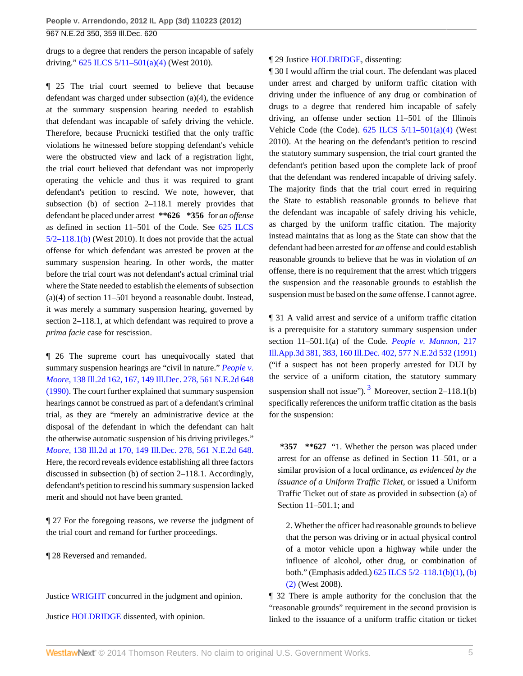drugs to a degree that renders the person incapable of safely driving." [625 ILCS 5/11–501\(a\)\(4\)](http://www.westlaw.com/Link/Document/FullText?findType=L&pubNum=1000008&cite=IL625S5%2f11-501&originatingDoc=Iffc9ddda6dc511e1be29b2facdefeebe&refType=SP&originationContext=document&vr=3.0&rs=cblt1.0&transitionType=DocumentItem&contextData=(sc.Search)#co_pp_d40e000072291) (West 2010).

¶ 25 The trial court seemed to believe that because defendant was charged under subsection (a)(4), the evidence at the summary suspension hearing needed to establish that defendant was incapable of safely driving the vehicle. Therefore, because Prucnicki testified that the only traffic violations he witnessed before stopping defendant's vehicle were the obstructed view and lack of a registration light, the trial court believed that defendant was not improperly operating the vehicle and thus it was required to grant defendant's petition to rescind. We note, however, that subsection (b) of section 2–118.1 merely provides that defendant be placed under arrest **\*\*626 \*356** for *an offense* as defined in section 11–501 of the Code. See [625 ILCS](http://www.westlaw.com/Link/Document/FullText?findType=L&pubNum=1000008&cite=IL625S5%2f2-118.1&originatingDoc=Iffc9ddda6dc511e1be29b2facdefeebe&refType=SP&originationContext=document&vr=3.0&rs=cblt1.0&transitionType=DocumentItem&contextData=(sc.Search)#co_pp_a83b000018c76)  $5/2-118.1(b)$  (West 2010). It does not provide that the actual offense for which defendant was arrested be proven at the summary suspension hearing. In other words, the matter before the trial court was not defendant's actual criminal trial where the State needed to establish the elements of subsection (a)(4) of section 11–501 beyond a reasonable doubt. Instead, it was merely a summary suspension hearing, governed by section 2–118.1, at which defendant was required to prove a *prima facie* case for rescission.

¶ 26 The supreme court has unequivocally stated that summary suspension hearings are "civil in nature." *[People v.](http://www.westlaw.com/Link/Document/FullText?findType=Y&serNum=1990138358&pubNum=578&originationContext=document&vr=3.0&rs=cblt1.0&transitionType=DocumentItem&contextData=(sc.Search)) Moore,* [138 Ill.2d 162, 167, 149 Ill.Dec. 278, 561 N.E.2d 648](http://www.westlaw.com/Link/Document/FullText?findType=Y&serNum=1990138358&pubNum=578&originationContext=document&vr=3.0&rs=cblt1.0&transitionType=DocumentItem&contextData=(sc.Search)) [\(1990\).](http://www.westlaw.com/Link/Document/FullText?findType=Y&serNum=1990138358&pubNum=578&originationContext=document&vr=3.0&rs=cblt1.0&transitionType=DocumentItem&contextData=(sc.Search)) The court further explained that summary suspension hearings cannot be construed as part of a defendant's criminal trial, as they are "merely an administrative device at the disposal of the defendant in which the defendant can halt the otherwise automatic suspension of his driving privileges." *Moore,* [138 Ill.2d at 170, 149 Ill.Dec. 278, 561 N.E.2d 648.](http://www.westlaw.com/Link/Document/FullText?findType=Y&serNum=1990138358&pubNum=578&originationContext=document&vr=3.0&rs=cblt1.0&transitionType=DocumentItem&contextData=(sc.Search)) Here, the record reveals evidence establishing all three factors discussed in subsection (b) of section 2–118.1. Accordingly, defendant's petition to rescind his summary suspension lacked merit and should not have been granted.

¶ 27 For the foregoing reasons, we reverse the judgment of the trial court and remand for further proceedings.

¶ 28 Reversed and remanded.

Justice [WRIGHT](http://www.westlaw.com/Link/Document/FullText?findType=h&pubNum=176284&cite=0139707701&originatingDoc=Iffc9ddda6dc511e1be29b2facdefeebe&refType=RQ&originationContext=document&vr=3.0&rs=cblt1.0&transitionType=DocumentItem&contextData=(sc.Search)) concurred in the judgment and opinion.

Justice [HOLDRIDGE](http://www.westlaw.com/Link/Document/FullText?findType=h&pubNum=176284&cite=0196755001&originatingDoc=Iffc9ddda6dc511e1be29b2facdefeebe&refType=RQ&originationContext=document&vr=3.0&rs=cblt1.0&transitionType=DocumentItem&contextData=(sc.Search)) dissented, with opinion.

### ¶ 29 Justice [HOLDRIDGE,](http://www.westlaw.com/Link/Document/FullText?findType=h&pubNum=176284&cite=0196755001&originatingDoc=Iffc9ddda6dc511e1be29b2facdefeebe&refType=RQ&originationContext=document&vr=3.0&rs=cblt1.0&transitionType=DocumentItem&contextData=(sc.Search)) dissenting:

¶ 30 I would affirm the trial court. The defendant was placed under arrest and charged by uniform traffic citation with driving under the influence of any drug or combination of drugs to a degree that rendered him incapable of safely driving, an offense under section 11–501 of the Illinois Vehicle Code (the Code).  $625$  ILCS  $5/11-501(a)(4)$  (West 2010). At the hearing on the defendant's petition to rescind the statutory summary suspension, the trial court granted the defendant's petition based upon the complete lack of proof that the defendant was rendered incapable of driving safely. The majority finds that the trial court erred in requiring the State to establish reasonable grounds to believe that the defendant was incapable of safely driving his vehicle, as charged by the uniform traffic citation. The majority instead maintains that as long as the State can show that the defendant had been arrested for *an* offense and could establish reasonable grounds to believe that he was in violation of *an* offense, there is no requirement that the arrest which triggers the suspension and the reasonable grounds to establish the suspension must be based on the *same* offense. I cannot agree.

¶ 31 A valid arrest and service of a uniform traffic citation is a prerequisite for a statutory summary suspension under section 11–501.1(a) of the Code. *[People v. Mannon,](http://www.westlaw.com/Link/Document/FullText?findType=Y&serNum=1991142813&pubNum=578&originationContext=document&vr=3.0&rs=cblt1.0&transitionType=DocumentItem&contextData=(sc.Search))* 217 [Ill.App.3d 381, 383, 160 Ill.Dec. 402, 577 N.E.2d 532 \(1991\)](http://www.westlaw.com/Link/Document/FullText?findType=Y&serNum=1991142813&pubNum=578&originationContext=document&vr=3.0&rs=cblt1.0&transitionType=DocumentItem&contextData=(sc.Search)) ("if a suspect has not been properly arrested for DUI by the service of a uniform citation, the statutory summary suspension shall not issue").  $3$  Moreover, section 2–118.1(b) specifically references the uniform traffic citation as the basis for the suspension:

<span id="page-4-0"></span>**\*357 \*\*627** "1. Whether the person was placed under arrest for an offense as defined in Section 11–501, or a similar provision of a local ordinance, *as evidenced by the issuance of a Uniform Traffic Ticket,* or issued a Uniform Traffic Ticket out of state as provided in subsection (a) of Section 11–501.1; and

2. Whether the officer had reasonable grounds to believe that the person was driving or in actual physical control of a motor vehicle upon a highway while under the influence of alcohol, other drug, or combination of both." (Emphasis added.) [625 ILCS 5/2–118.1\(b\)\(1\), \(b\)](http://www.westlaw.com/Link/Document/FullText?findType=L&pubNum=1000008&cite=IL625S5%2f2-118.1&originatingDoc=Iffc9ddda6dc511e1be29b2facdefeebe&refType=SP&originationContext=document&vr=3.0&rs=cblt1.0&transitionType=DocumentItem&contextData=(sc.Search)#co_pp_a83b000018c76) [\(2\)](http://www.westlaw.com/Link/Document/FullText?findType=L&pubNum=1000008&cite=IL625S5%2f2-118.1&originatingDoc=Iffc9ddda6dc511e1be29b2facdefeebe&refType=SP&originationContext=document&vr=3.0&rs=cblt1.0&transitionType=DocumentItem&contextData=(sc.Search)#co_pp_a83b000018c76) (West 2008).

¶ 32 There is ample authority for the conclusion that the "reasonable grounds" requirement in the second provision is linked to the issuance of a uniform traffic citation or ticket